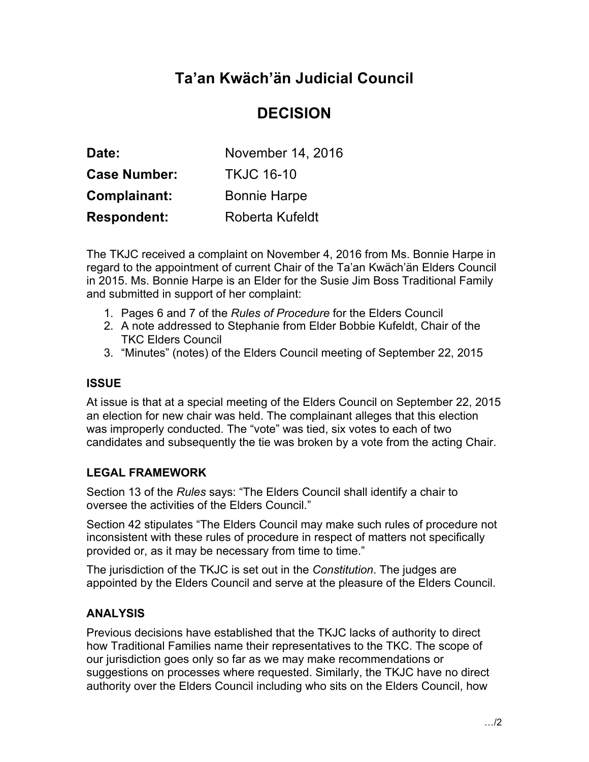# **Ta'an Kwäch'än Judicial Council**

## **DECISION**

| Date:               | November 14, 2016   |
|---------------------|---------------------|
| <b>Case Number:</b> | <b>TKJC 16-10</b>   |
| Complainant:        | <b>Bonnie Harpe</b> |
| <b>Respondent:</b>  | Roberta Kufeldt     |

The TKJC received a complaint on November 4, 2016 from Ms. Bonnie Harpe in regard to the appointment of current Chair of the Ta'an Kwäch'än Elders Council in 2015. Ms. Bonnie Harpe is an Elder for the Susie Jim Boss Traditional Family and submitted in support of her complaint:

- 1. Pages 6 and 7 of the *Rules of Procedure* for the Elders Council
- 2. A note addressed to Stephanie from Elder Bobbie Kufeldt, Chair of the TKC Elders Council
- 3. "Minutes" (notes) of the Elders Council meeting of September 22, 2015

### **ISSUE**

At issue is that at a special meeting of the Elders Council on September 22, 2015 an election for new chair was held. The complainant alleges that this election was improperly conducted. The "vote" was tied, six votes to each of two candidates and subsequently the tie was broken by a vote from the acting Chair.

### **LEGAL FRAMEWORK**

Section 13 of the *Rules* says: "The Elders Council shall identify a chair to oversee the activities of the Elders Council."

Section 42 stipulates "The Elders Council may make such rules of procedure not inconsistent with these rules of procedure in respect of matters not specifically provided or, as it may be necessary from time to time."

The jurisdiction of the TKJC is set out in the *Constitution*. The judges are appointed by the Elders Council and serve at the pleasure of the Elders Council.

### **ANALYSIS**

Previous decisions have established that the TKJC lacks of authority to direct how Traditional Families name their representatives to the TKC. The scope of our jurisdiction goes only so far as we may make recommendations or suggestions on processes where requested. Similarly, the TKJC have no direct authority over the Elders Council including who sits on the Elders Council, how